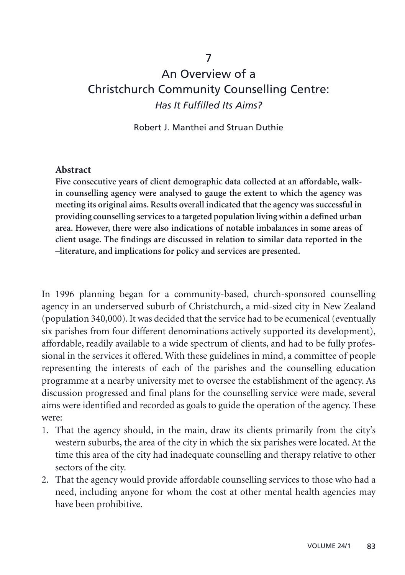## 7

# An Overview of a Christchurch Community Counselling Centre: *Has It Fulfilled Its Aims?*

#### Robert J. Manthei and Struan Duthie

#### **Abstract**

**Five consecutive years of client demographic data collected at an affordable, walkin counselling agency were analysed to gauge the extent to which the agency was meeting its original aims. Results overall indicated that the agency was successful in providing counselling services to a targeted population living within a defined urban area. However, there were also indications of notable imbalances in some areas of client usage. The findings are discussed in relation to similar data reported in the –literature, and implications for policy and services are presented.**

In 1996 planning began for a community-based, church-sponsored counselling agency in an underserved suburb of Christchurch, a mid-sized city in New Zealand (population 340,000). It was decided that the service had to be ecumenical (eventually six parishes from four different denominations actively supported its development), affordable, readily available to a wide spectrum of clients, and had to be fully professional in the services it offered. With these guidelines in mind, a committee of people representing the interests of each of the parishes and the counselling education programme at a nearby university met to oversee the establishment of the agency. As discussion progressed and final plans for the counselling service were made, several aims were identified and recorded as goals to guide the operation of the agency. These were:

- 1. That the agency should, in the main, draw its clients primarily from the city's western suburbs, the area of the city in which the six parishes were located. At the time this area of the city had inadequate counselling and therapy relative to other sectors of the city.
- 2. That the agency would provide affordable counselling services to those who had a need, including anyone for whom the cost at other mental health agencies may have been prohibitive.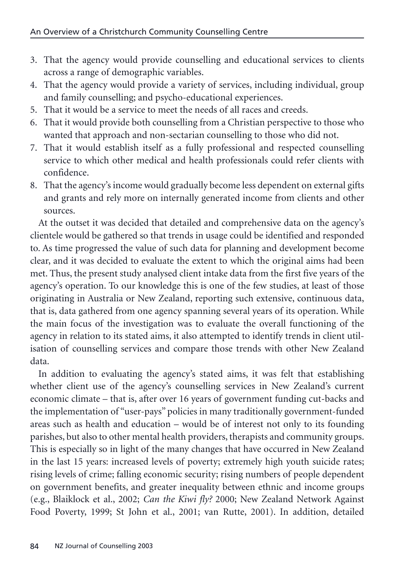- 3. That the agency would provide counselling and educational services to clients across a range of demographic variables.
- 4. That the agency would provide a variety of services, including individual, group and family counselling; and psycho-educational experiences.
- 5. That it would be a service to meet the needs of all races and creeds.
- 6. That it would provide both counselling from a Christian perspective to those who wanted that approach and non-sectarian counselling to those who did not.
- 7. That it would establish itself as a fully professional and respected counselling service to which other medical and health professionals could refer clients with confidence.
- 8. That the agency's income would gradually become less dependent on external gifts and grants and rely more on internally generated income from clients and other sources.

At the outset it was decided that detailed and comprehensive data on the agency's clientele would be gathered so that trends in usage could be identified and responded to. As time progressed the value of such data for planning and development become clear, and it was decided to evaluate the extent to which the original aims had been met. Thus, the present study analysed client intake data from the first five years of the agency's operation. To our knowledge this is one of the few studies, at least of those originating in Australia or New Zealand, reporting such extensive, continuous data, that is, data gathered from one agency spanning several years of its operation. While the main focus of the investigation was to evaluate the overall functioning of the agency in relation to its stated aims, it also attempted to identify trends in client utilisation of counselling services and compare those trends with other New Zealand data.

In addition to evaluating the agency's stated aims, it was felt that establishing whether client use of the agency's counselling services in New Zealand's current economic climate – that is, after over 16 years of government funding cut-backs and the implementation of "user-pays" policies in many traditionally government-funded areas such as health and education – would be of interest not only to its founding parishes, but also to other mental health providers, therapists and community groups. This is especially so in light of the many changes that have occurred in New Zealand in the last 15 years: increased levels of poverty; extremely high youth suicide rates; rising levels of crime; falling economic security; rising numbers of people dependent on government benefits, and greater inequality between ethnic and income groups (e.g., Blaiklock et al., 2002; *Can the Kiwi fly?* 2000; New Zealand Network Against Food Poverty, 1999; St John et al., 2001; van Rutte, 2001). In addition, detailed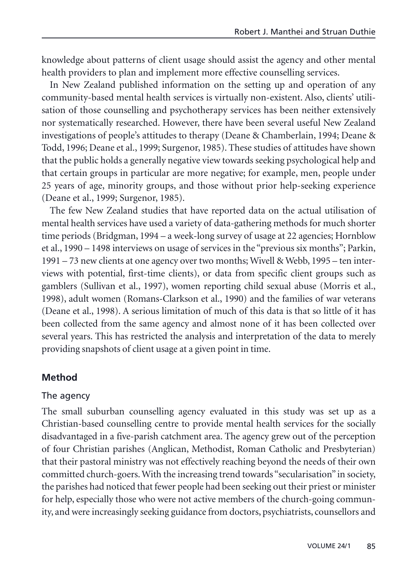knowledge about patterns of client usage should assist the agency and other mental health providers to plan and implement more effective counselling services.

In New Zealand published information on the setting up and operation of any community-based mental health services is virtually non-existent. Also, clients' utilisation of those counselling and psychotherapy services has been neither extensively nor systematically researched. However, there have been several useful New Zealand investigations of people's attitudes to therapy (Deane & Chamberlain, 1994; Deane & Todd, 1996; Deane et al., 1999; Surgenor, 1985). These studies of attitudes have shown that the public holds a generally negative view towards seeking psychological help and that certain groups in particular are more negative; for example, men, people under 25 years of age, minority groups, and those without prior help-seeking experience (Deane et al., 1999; Surgenor, 1985).

The few New Zealand studies that have reported data on the actual utilisation of mental health services have used a variety of data-gathering methods for much shorter time periods (Bridgman, 1994 – a week-long survey of usage at 22 agencies; Hornblow et al., 1990 – 1498 interviews on usage of services in the "previous six months"; Parkin, 1991 – 73 new clients at one agency over two months; Wivell & Webb, 1995 – ten interviews with potential, first-time clients), or data from specific client groups such as gamblers (Sullivan et al., 1997), women reporting child sexual abuse (Morris et al., 1998), adult women (Romans-Clarkson et al., 1990) and the families of war veterans (Deane et al., 1998). A serious limitation of much of this data is that so little of it has been collected from the same agency and almost none of it has been collected over several years. This has restricted the analysis and interpretation of the data to merely providing snapshots of client usage at a given point in time.

## **Method**

#### The agency

The small suburban counselling agency evaluated in this study was set up as a Christian-based counselling centre to provide mental health services for the socially disadvantaged in a five-parish catchment area. The agency grew out of the perception of four Christian parishes (Anglican, Methodist, Roman Catholic and Presbyterian) that their pastoral ministry was not effectively reaching beyond the needs of their own committed church-goers. With the increasing trend towards "secularisation" in society, the parishes had noticed that fewer people had been seeking out their priest or minister for help, especially those who were not active members of the church-going community, and were increasingly seeking guidance from doctors, psychiatrists, counsellors and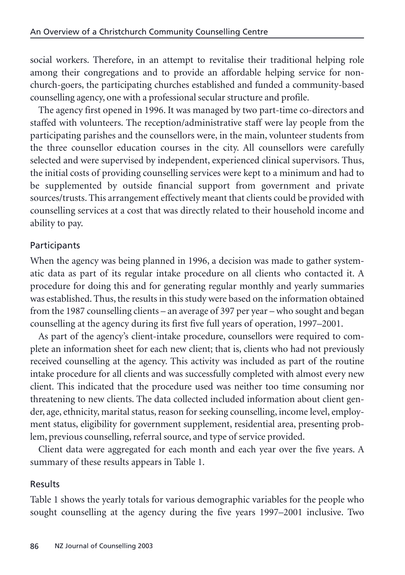social workers. Therefore, in an attempt to revitalise their traditional helping role among their congregations and to provide an affordable helping service for nonchurch-goers, the participating churches established and funded a community-based counselling agency, one with a professional secular structure and profile.

The agency first opened in 1996. It was managed by two part-time co-directors and staffed with volunteers. The reception/administrative staff were lay people from the participating parishes and the counsellors were, in the main, volunteer students from the three counsellor education courses in the city. All counsellors were carefully selected and were supervised by independent, experienced clinical supervisors. Thus, the initial costs of providing counselling services were kept to a minimum and had to be supplemented by outside financial support from government and private sources/trusts. This arrangement effectively meant that clients could be provided with counselling services at a cost that was directly related to their household income and ability to pay.

# **Participants**

When the agency was being planned in 1996, a decision was made to gather systematic data as part of its regular intake procedure on all clients who contacted it. A procedure for doing this and for generating regular monthly and yearly summaries was established. Thus, the results in this study were based on the information obtained from the 1987 counselling clients – an average of 397 per year – who sought and began counselling at the agency during its first five full years of operation, 1997–2001.

As part of the agency's client-intake procedure, counsellors were required to complete an information sheet for each new client; that is, clients who had not previously received counselling at the agency. This activity was included as part of the routine intake procedure for all clients and was successfully completed with almost every new client. This indicated that the procedure used was neither too time consuming nor threatening to new clients. The data collected included information about client gender, age, ethnicity, marital status, reason for seeking counselling, income level, employment status, eligibility for government supplement, residential area, presenting problem, previous counselling, referral source, and type of service provided.

Client data were aggregated for each month and each year over the five years. A summary of these results appears in Table 1.

## Results

Table 1 shows the yearly totals for various demographic variables for the people who sought counselling at the agency during the five years 1997–2001 inclusive. Two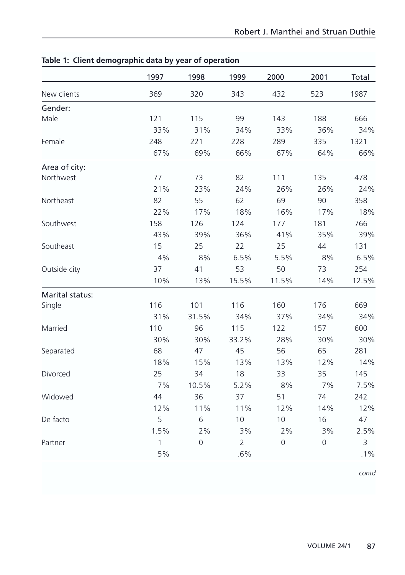|                 | 1997 | 1998                | 1999           | 2000        | 2001        | Total  |
|-----------------|------|---------------------|----------------|-------------|-------------|--------|
| New clients     | 369  | 320                 | 343            | 432         | 523         | 1987   |
| Gender:         |      |                     |                |             |             |        |
| Male            | 121  | 115                 | 99             | 143         | 188         | 666    |
|                 | 33%  | 31%                 | 34%            | 33%         | 36%         | 34%    |
| Female          | 248  | 221                 | 228            | 289         | 335         | 1321   |
|                 | 67%  | 69%                 | 66%            | 67%         | 64%         | 66%    |
| Area of city:   |      |                     |                |             |             |        |
| Northwest       | 77   | 73                  | 82             | 111         | 135         | 478    |
|                 | 21%  | 23%                 | 24%            | 26%         | 26%         | 24%    |
| Northeast       | 82   | 55                  | 62             | 69          | 90          | 358    |
|                 | 22%  | 17%                 | 18%            | 16%         | 17%         | 18%    |
| Southwest       | 158  | 126                 | 124            | 177         | 181         | 766    |
|                 | 43%  | 39%                 | 36%            | 41%         | 35%         | 39%    |
| Southeast       | 15   | 25                  | 22             | 25          | 44          | 131    |
|                 | 4%   | 8%                  | 6.5%           | 5.5%        | 8%          | 6.5%   |
| Outside city    | 37   | 41                  | 53             | 50          | 73          | 254    |
|                 | 10%  | 13%                 | 15.5%          | 11.5%       | 14%         | 12.5%  |
| Marital status: |      |                     |                |             |             |        |
| Single          | 116  | 101                 | 116            | 160         | 176         | 669    |
|                 | 31%  | 31.5%               | 34%            | 37%         | 34%         | 34%    |
| Married         | 110  | 96                  | 115            | 122         | 157         | 600    |
|                 | 30%  | 30%                 | 33.2%          | 28%         | 30%         | 30%    |
| Separated       | 68   | 47                  | 45             | 56          | 65          | 281    |
|                 | 18%  | 15%                 | 13%            | 13%         | 12%         | 14%    |
| Divorced        | 25   | 34                  | 18             | 33          | 35          | 145    |
|                 | 7%   | 10.5%               | 5.2%           | 8%          | 7%          | 7.5%   |
| Widowed         | 44   | 36                  | 37             | 51          | 74          | 242    |
|                 | 12%  | 11%                 | 11%            | 12%         | 14%         | 12%    |
| De facto        | 5    | 6                   | 10             | 10          | 16          | 47     |
|                 | 1.5% | 2%                  | 3%             | 2%          | 3%          | 2.5%   |
| Partner         | 1    | $\mathsf{O}\xspace$ | $\overline{2}$ | $\mathbf 0$ | $\mathbf 0$ | 3      |
|                 | 5%   |                     | .6%            |             |             | $.1\%$ |

## **Table 1: Client demographic data by year of operation**

*contd*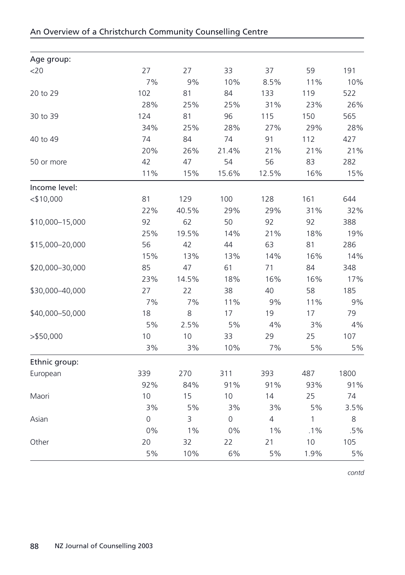| Age group:<br>27<br>33<br>37<br>59<br>191<br>$<$ 20<br>27<br>7%<br>9%<br>10%<br>11%<br>8.5%<br>102<br>81<br>84<br>133<br>119<br>522<br>20 to 29<br>28%<br>25%<br>25%<br>31%<br>23%<br>81<br>565<br>124<br>96<br>115<br>150<br>30 to 39<br>34%<br>25%<br>28%<br>27%<br>29%<br>74<br>84<br>74<br>91<br>112<br>427<br>40 to 49<br>20%<br>26%<br>21%<br>21%<br>21.4%<br>42<br>47<br>54<br>56<br>83<br>282<br>50 or more<br>11%<br>15%<br>15.6%<br>16%<br>12.5%<br>Income level:<br>81<br>100<br>161<br>$<$ \$10,000<br>129<br>128<br>644<br>22%<br>40.5%<br>29%<br>29%<br>31%<br>62<br>92<br>92<br>50<br>92<br>388<br>\$10,000-15,000<br>25%<br>19.5%<br>21%<br>14%<br>18%<br>\$15,000-20,000<br>56<br>42<br>44<br>63<br>81<br>286<br>15%<br>13%<br>13%<br>14%<br>16%<br>85<br>47<br>\$20,000-30,000<br>61<br>71<br>84<br>348<br>14.5%<br>16%<br>16%<br>23%<br>18%<br>27<br>22<br>40<br>58<br>185<br>\$30,000-40,000<br>38<br>7%<br>7%<br>9%<br>11%<br>11%<br>18<br>8<br>17<br>19<br>17<br>79<br>\$40,000-50,000<br>5%<br>2.5%<br>5%<br>4%<br>3%<br>10<br>10<br>29<br>25<br>107<br>$>$ \$50,000<br>33<br>5%<br>3%<br>3%<br>10%<br>7%<br>Ethnic group:<br>339<br>270<br>311<br>393<br>487<br>1800<br>European<br>92%<br>84%<br>91%<br>91%<br>93%<br>15<br>14<br>25<br>10<br>10<br>74<br>Maori<br>3%<br>5%<br>3%<br>3%<br>5%<br>3<br>$\overline{0}$<br>$\overline{4}$<br>$\mathbf{1}$<br>Asian<br>$\mathbf 0$<br>8<br>0%<br>1%<br>0%<br>.1%<br>1%<br>20<br>22<br>21<br>10<br>105<br>Other<br>32<br>5%<br>10%<br>6%<br>5%<br>1.9% |  |  |  |      |
|----------------------------------------------------------------------------------------------------------------------------------------------------------------------------------------------------------------------------------------------------------------------------------------------------------------------------------------------------------------------------------------------------------------------------------------------------------------------------------------------------------------------------------------------------------------------------------------------------------------------------------------------------------------------------------------------------------------------------------------------------------------------------------------------------------------------------------------------------------------------------------------------------------------------------------------------------------------------------------------------------------------------------------------------------------------------------------------------------------------------------------------------------------------------------------------------------------------------------------------------------------------------------------------------------------------------------------------------------------------------------------------------------------------------------------------------------------------------------------------------------------------------------|--|--|--|------|
|                                                                                                                                                                                                                                                                                                                                                                                                                                                                                                                                                                                                                                                                                                                                                                                                                                                                                                                                                                                                                                                                                                                                                                                                                                                                                                                                                                                                                                                                                                                            |  |  |  |      |
|                                                                                                                                                                                                                                                                                                                                                                                                                                                                                                                                                                                                                                                                                                                                                                                                                                                                                                                                                                                                                                                                                                                                                                                                                                                                                                                                                                                                                                                                                                                            |  |  |  |      |
|                                                                                                                                                                                                                                                                                                                                                                                                                                                                                                                                                                                                                                                                                                                                                                                                                                                                                                                                                                                                                                                                                                                                                                                                                                                                                                                                                                                                                                                                                                                            |  |  |  | 10%  |
|                                                                                                                                                                                                                                                                                                                                                                                                                                                                                                                                                                                                                                                                                                                                                                                                                                                                                                                                                                                                                                                                                                                                                                                                                                                                                                                                                                                                                                                                                                                            |  |  |  |      |
|                                                                                                                                                                                                                                                                                                                                                                                                                                                                                                                                                                                                                                                                                                                                                                                                                                                                                                                                                                                                                                                                                                                                                                                                                                                                                                                                                                                                                                                                                                                            |  |  |  | 26%  |
|                                                                                                                                                                                                                                                                                                                                                                                                                                                                                                                                                                                                                                                                                                                                                                                                                                                                                                                                                                                                                                                                                                                                                                                                                                                                                                                                                                                                                                                                                                                            |  |  |  |      |
|                                                                                                                                                                                                                                                                                                                                                                                                                                                                                                                                                                                                                                                                                                                                                                                                                                                                                                                                                                                                                                                                                                                                                                                                                                                                                                                                                                                                                                                                                                                            |  |  |  | 28%  |
|                                                                                                                                                                                                                                                                                                                                                                                                                                                                                                                                                                                                                                                                                                                                                                                                                                                                                                                                                                                                                                                                                                                                                                                                                                                                                                                                                                                                                                                                                                                            |  |  |  |      |
|                                                                                                                                                                                                                                                                                                                                                                                                                                                                                                                                                                                                                                                                                                                                                                                                                                                                                                                                                                                                                                                                                                                                                                                                                                                                                                                                                                                                                                                                                                                            |  |  |  | 21%  |
|                                                                                                                                                                                                                                                                                                                                                                                                                                                                                                                                                                                                                                                                                                                                                                                                                                                                                                                                                                                                                                                                                                                                                                                                                                                                                                                                                                                                                                                                                                                            |  |  |  |      |
|                                                                                                                                                                                                                                                                                                                                                                                                                                                                                                                                                                                                                                                                                                                                                                                                                                                                                                                                                                                                                                                                                                                                                                                                                                                                                                                                                                                                                                                                                                                            |  |  |  | 15%  |
|                                                                                                                                                                                                                                                                                                                                                                                                                                                                                                                                                                                                                                                                                                                                                                                                                                                                                                                                                                                                                                                                                                                                                                                                                                                                                                                                                                                                                                                                                                                            |  |  |  |      |
|                                                                                                                                                                                                                                                                                                                                                                                                                                                                                                                                                                                                                                                                                                                                                                                                                                                                                                                                                                                                                                                                                                                                                                                                                                                                                                                                                                                                                                                                                                                            |  |  |  |      |
|                                                                                                                                                                                                                                                                                                                                                                                                                                                                                                                                                                                                                                                                                                                                                                                                                                                                                                                                                                                                                                                                                                                                                                                                                                                                                                                                                                                                                                                                                                                            |  |  |  | 32%  |
|                                                                                                                                                                                                                                                                                                                                                                                                                                                                                                                                                                                                                                                                                                                                                                                                                                                                                                                                                                                                                                                                                                                                                                                                                                                                                                                                                                                                                                                                                                                            |  |  |  |      |
|                                                                                                                                                                                                                                                                                                                                                                                                                                                                                                                                                                                                                                                                                                                                                                                                                                                                                                                                                                                                                                                                                                                                                                                                                                                                                                                                                                                                                                                                                                                            |  |  |  | 19%  |
|                                                                                                                                                                                                                                                                                                                                                                                                                                                                                                                                                                                                                                                                                                                                                                                                                                                                                                                                                                                                                                                                                                                                                                                                                                                                                                                                                                                                                                                                                                                            |  |  |  |      |
|                                                                                                                                                                                                                                                                                                                                                                                                                                                                                                                                                                                                                                                                                                                                                                                                                                                                                                                                                                                                                                                                                                                                                                                                                                                                                                                                                                                                                                                                                                                            |  |  |  | 14%  |
|                                                                                                                                                                                                                                                                                                                                                                                                                                                                                                                                                                                                                                                                                                                                                                                                                                                                                                                                                                                                                                                                                                                                                                                                                                                                                                                                                                                                                                                                                                                            |  |  |  |      |
|                                                                                                                                                                                                                                                                                                                                                                                                                                                                                                                                                                                                                                                                                                                                                                                                                                                                                                                                                                                                                                                                                                                                                                                                                                                                                                                                                                                                                                                                                                                            |  |  |  | 17%  |
|                                                                                                                                                                                                                                                                                                                                                                                                                                                                                                                                                                                                                                                                                                                                                                                                                                                                                                                                                                                                                                                                                                                                                                                                                                                                                                                                                                                                                                                                                                                            |  |  |  |      |
|                                                                                                                                                                                                                                                                                                                                                                                                                                                                                                                                                                                                                                                                                                                                                                                                                                                                                                                                                                                                                                                                                                                                                                                                                                                                                                                                                                                                                                                                                                                            |  |  |  | 9%   |
|                                                                                                                                                                                                                                                                                                                                                                                                                                                                                                                                                                                                                                                                                                                                                                                                                                                                                                                                                                                                                                                                                                                                                                                                                                                                                                                                                                                                                                                                                                                            |  |  |  |      |
|                                                                                                                                                                                                                                                                                                                                                                                                                                                                                                                                                                                                                                                                                                                                                                                                                                                                                                                                                                                                                                                                                                                                                                                                                                                                                                                                                                                                                                                                                                                            |  |  |  | 4%   |
|                                                                                                                                                                                                                                                                                                                                                                                                                                                                                                                                                                                                                                                                                                                                                                                                                                                                                                                                                                                                                                                                                                                                                                                                                                                                                                                                                                                                                                                                                                                            |  |  |  |      |
|                                                                                                                                                                                                                                                                                                                                                                                                                                                                                                                                                                                                                                                                                                                                                                                                                                                                                                                                                                                                                                                                                                                                                                                                                                                                                                                                                                                                                                                                                                                            |  |  |  | 5%   |
|                                                                                                                                                                                                                                                                                                                                                                                                                                                                                                                                                                                                                                                                                                                                                                                                                                                                                                                                                                                                                                                                                                                                                                                                                                                                                                                                                                                                                                                                                                                            |  |  |  |      |
|                                                                                                                                                                                                                                                                                                                                                                                                                                                                                                                                                                                                                                                                                                                                                                                                                                                                                                                                                                                                                                                                                                                                                                                                                                                                                                                                                                                                                                                                                                                            |  |  |  |      |
|                                                                                                                                                                                                                                                                                                                                                                                                                                                                                                                                                                                                                                                                                                                                                                                                                                                                                                                                                                                                                                                                                                                                                                                                                                                                                                                                                                                                                                                                                                                            |  |  |  | 91%  |
|                                                                                                                                                                                                                                                                                                                                                                                                                                                                                                                                                                                                                                                                                                                                                                                                                                                                                                                                                                                                                                                                                                                                                                                                                                                                                                                                                                                                                                                                                                                            |  |  |  |      |
|                                                                                                                                                                                                                                                                                                                                                                                                                                                                                                                                                                                                                                                                                                                                                                                                                                                                                                                                                                                                                                                                                                                                                                                                                                                                                                                                                                                                                                                                                                                            |  |  |  | 3.5% |
|                                                                                                                                                                                                                                                                                                                                                                                                                                                                                                                                                                                                                                                                                                                                                                                                                                                                                                                                                                                                                                                                                                                                                                                                                                                                                                                                                                                                                                                                                                                            |  |  |  |      |
|                                                                                                                                                                                                                                                                                                                                                                                                                                                                                                                                                                                                                                                                                                                                                                                                                                                                                                                                                                                                                                                                                                                                                                                                                                                                                                                                                                                                                                                                                                                            |  |  |  | .5%  |
|                                                                                                                                                                                                                                                                                                                                                                                                                                                                                                                                                                                                                                                                                                                                                                                                                                                                                                                                                                                                                                                                                                                                                                                                                                                                                                                                                                                                                                                                                                                            |  |  |  |      |
|                                                                                                                                                                                                                                                                                                                                                                                                                                                                                                                                                                                                                                                                                                                                                                                                                                                                                                                                                                                                                                                                                                                                                                                                                                                                                                                                                                                                                                                                                                                            |  |  |  | 5%   |

## An Overview of a Christchurch Community Counselling Centre

*contd*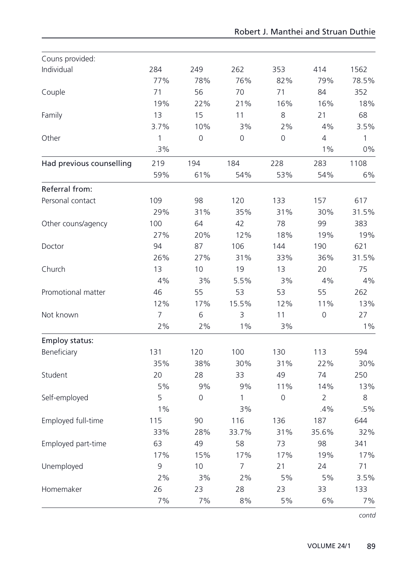| Couns provided:          |      |                |                |                     |                |              |
|--------------------------|------|----------------|----------------|---------------------|----------------|--------------|
| Individual               | 284  | 249            | 262            | 353                 | 414            | 1562         |
|                          | 77%  | 78%            | 76%            | 82%                 | 79%            | 78.5%        |
| Couple                   | 71   | 56             | 70             | 71                  | 84             | 352          |
|                          | 19%  | 22%            | 21%            | 16%                 | 16%            | 18%          |
| Family                   | 13   | 15             | 11             | 8                   | 21             | 68           |
|                          | 3.7% | 10%            | 3%             | 2%                  | 4%             | 3.5%         |
| Other                    | 1    | $\overline{0}$ | $\overline{0}$ | 0                   | 4              | $\mathbf{1}$ |
|                          | .3%  |                |                |                     | 1%             | 0%           |
| Had previous counselling | 219  | 194            | 184            | 228                 | 283            | 1108         |
|                          | 59%  | 61%            | 54%            | 53%                 | 54%            | 6%           |
| Referral from:           |      |                |                |                     |                |              |
| Personal contact         | 109  | 98             | 120            | 133                 | 157            | 617          |
|                          | 29%  | 31%            | 35%            | 31%                 | 30%            | 31.5%        |
| Other couns/agency       | 100  | 64             | 42             | 78                  | 99             | 383          |
|                          | 27%  | 20%            | 12%            | 18%                 | 19%            | 19%          |
| Doctor                   | 94   | 87             | 106            | 144                 | 190            | 621          |
|                          | 26%  | 27%            | 31%            | 33%                 | 36%            | 31.5%        |
| Church                   | 13   | 10             | 19             | 13                  | 20             | 75           |
|                          | 4%   | 3%             | 5.5%           | 3%                  | 4%             | 4%           |
| Promotional matter       | 46   | 55             | 53             | 53                  | 55             | 262          |
|                          | 12%  | 17%            | 15.5%          | 12%                 | 11%            | 13%          |
| Not known                | 7    | 6              | 3              | 11                  | $\overline{0}$ | 27           |
|                          | 2%   | 2%             | 1%             | 3%                  |                | $1\%$        |
| Employ status:           |      |                |                |                     |                |              |
| Beneficiary              | 131  | 120            | 100            | 130                 | 113            | 594          |
|                          | 35%  | 38%            | 30%            | 31%                 | 22%            | 30%          |
| Student                  | 20   | 28             | 33             | 49                  | 74             | 250          |
|                          | 5%   | 9%             | 9%             | 11%                 | 14%            | 13%          |
| Self-employed            | 5    | 0              | 1              | $\mathsf{O}\xspace$ | $\overline{2}$ | 8            |
|                          | 1%   |                | 3%             |                     | .4%            | .5%          |
| Employed full-time       | 115  | 90             | 116            | 136                 | 187            | 644          |
|                          | 33%  | 28%            | 33.7%          | 31%                 | 35.6%          | 32%          |
| Employed part-time       | 63   | 49             | 58             | 73                  | 98             | 341          |
|                          | 17%  | 15%            | 17%            | 17%                 | 19%            | 17%          |
| Unemployed               | 9    | 10             | 7              | 21                  | 24             | 71           |
|                          | 2%   | 3%             | 2%             | 5%                  | 5%             | 3.5%         |
| Homemaker                | 26   | 23             | 28             | 23                  | 33             | 133          |
|                          | 7%   | 7%             | 8%             | 5%                  | 6%             | 7%           |

*contd*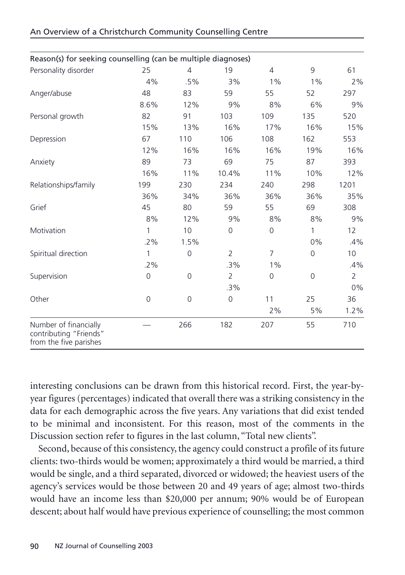| Reason(s) for seeking counselling (can be multiple diagnoses)             |                |                |                |                     |              |                |
|---------------------------------------------------------------------------|----------------|----------------|----------------|---------------------|--------------|----------------|
| Personality disorder                                                      | 25             | $\overline{4}$ | 19             | $\overline{4}$      | 9            | 61             |
|                                                                           | 4%             | .5%            | 3%             | $1\%$               | $1\%$        | 2%             |
| Anger/abuse                                                               | 48             | 83             | 59             | 55                  | 52           | 297            |
|                                                                           | 8.6%           | 12%            | 9%             | 8%                  | 6%           | 9%             |
| Personal growth                                                           | 82             | 91             | 103            | 109                 | 135          | 520            |
|                                                                           | 15%            | 13%            | 16%            | 17%                 | 16%          | 15%            |
| Depression                                                                | 67             | 110            | 106            | 108                 | 162          | 553            |
|                                                                           | 12%            | 16%            | 16%            | 16%                 | 19%          | 16%            |
| Anxiety                                                                   | 89             | 73             | 69             | 75                  | 87           | 393            |
|                                                                           | 16%            | 11%            | 10.4%          | 11%                 | 10%          | 12%            |
| Relationships/family                                                      | 199            | 230            | 234            | 240                 | 298          | 1201           |
|                                                                           | 36%            | 34%            | 36%            | 36%                 | 36%          | 35%            |
| Grief                                                                     | 45             | 80             | 59             | 55                  | 69           | 308            |
|                                                                           | 8%             | 12%            | 9%             | 8%                  | 8%           | 9%             |
| Motivation                                                                | 1              | 10             | $\overline{0}$ | $\mathsf{O}\xspace$ | $\mathbf{1}$ | 12             |
|                                                                           | $.2\%$         | 1.5%           |                |                     | $0\%$        | .4%            |
| Spiritual direction                                                       | 1              | $\overline{0}$ | $\overline{2}$ | $\overline{7}$      | 0            | 10             |
|                                                                           | .2%            |                | .3%            | $1\%$               |              | .4%            |
| Supervision                                                               | $\overline{0}$ | $\mathbf 0$    | $\overline{2}$ | 0                   | 0            | $\overline{2}$ |
|                                                                           |                |                | .3%            |                     |              | 0%             |
| Other                                                                     | $\overline{0}$ | $\mathbf 0$    | $\overline{0}$ | 11                  | 25           | 36             |
|                                                                           |                |                |                | 2%                  | 5%           | 1.2%           |
| Number of financially<br>contributing "Friends"<br>from the five parishes |                | 266            | 182            | 207                 | 55           | 710            |

interesting conclusions can be drawn from this historical record. First, the year-byyear figures (percentages) indicated that overall there was a striking consistency in the data for each demographic across the five years. Any variations that did exist tended to be minimal and inconsistent. For this reason, most of the comments in the Discussion section refer to figures in the last column, "Total new clients".

Second, because of this consistency, the agency could construct a profile of its future clients: two-thirds would be women; approximately a third would be married, a third would be single, and a third separated, divorced or widowed; the heaviest users of the agency's services would be those between 20 and 49 years of age; almost two-thirds would have an income less than \$20,000 per annum; 90% would be of European descent; about half would have previous experience of counselling; the most common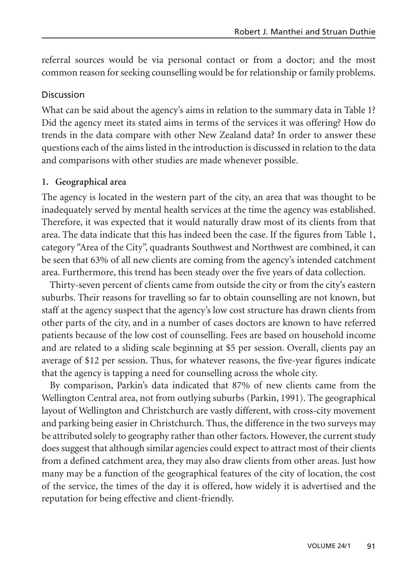referral sources would be via personal contact or from a doctor; and the most common reason for seeking counselling would be for relationship or family problems.

#### Discussion

What can be said about the agency's aims in relation to the summary data in Table 1? Did the agency meet its stated aims in terms of the services it was offering? How do trends in the data compare with other New Zealand data? In order to answer these questions each of the aims listed in the introduction is discussed in relation to the data and comparisons with other studies are made whenever possible.

## **1. Geographical area**

The agency is located in the western part of the city, an area that was thought to be inadequately served by mental health services at the time the agency was established. Therefore, it was expected that it would naturally draw most of its clients from that area. The data indicate that this has indeed been the case. If the figures from Table 1, category "Area of the City", quadrants Southwest and Northwest are combined, it can be seen that 63% of all new clients are coming from the agency's intended catchment area. Furthermore, this trend has been steady over the five years of data collection.

Thirty-seven percent of clients came from outside the city or from the city's eastern suburbs. Their reasons for travelling so far to obtain counselling are not known, but staff at the agency suspect that the agency's low cost structure has drawn clients from other parts of the city, and in a number of cases doctors are known to have referred patients because of the low cost of counselling. Fees are based on household income and are related to a sliding scale beginning at \$5 per session. Overall, clients pay an average of \$12 per session. Thus, for whatever reasons, the five-year figures indicate that the agency is tapping a need for counselling across the whole city.

By comparison, Parkin's data indicated that 87% of new clients came from the Wellington Central area, not from outlying suburbs (Parkin, 1991). The geographical layout of Wellington and Christchurch are vastly different, with cross-city movement and parking being easier in Christchurch. Thus, the difference in the two surveys may be attributed solely to geography rather than other factors. However, the current study does suggest that although similar agencies could expect to attract most of their clients from a defined catchment area, they may also draw clients from other areas. Just how many may be a function of the geographical features of the city of location, the cost of the service, the times of the day it is offered, how widely it is advertised and the reputation for being effective and client-friendly.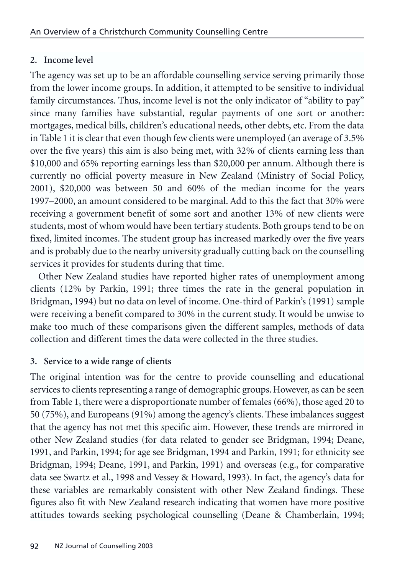# **2. Income level**

The agency was set up to be an affordable counselling service serving primarily those from the lower income groups. In addition, it attempted to be sensitive to individual family circumstances. Thus, income level is not the only indicator of "ability to pay" since many families have substantial, regular payments of one sort or another: mortgages, medical bills, children's educational needs, other debts, etc. From the data in Table 1 it is clear that even though few clients were unemployed (an average of 3.5% over the five years) this aim is also being met, with 32% of clients earning less than \$10,000 and 65% reporting earnings less than \$20,000 per annum. Although there is currently no official poverty measure in New Zealand (Ministry of Social Policy, 2001), \$20,000 was between 50 and 60% of the median income for the years 1997–2000, an amount considered to be marginal. Add to this the fact that 30% were receiving a government benefit of some sort and another 13% of new clients were students, most of whom would have been tertiary students. Both groups tend to be on fixed, limited incomes. The student group has increased markedly over the five years and is probably due to the nearby university gradually cutting back on the counselling services it provides for students during that time.

Other New Zealand studies have reported higher rates of unemployment among clients (12% by Parkin, 1991; three times the rate in the general population in Bridgman, 1994) but no data on level of income. One-third of Parkin's (1991) sample were receiving a benefit compared to 30% in the current study. It would be unwise to make too much of these comparisons given the different samples, methods of data collection and different times the data were collected in the three studies.

# **3. Service to a wide range of clients**

The original intention was for the centre to provide counselling and educational services to clients representing a range of demographic groups. However, as can be seen from Table 1, there were a disproportionate number of females (66%), those aged 20 to 50 (75%), and Europeans (91%) among the agency's clients. These imbalances suggest that the agency has not met this specific aim. However, these trends are mirrored in other New Zealand studies (for data related to gender see Bridgman, 1994; Deane, 1991, and Parkin, 1994; for age see Bridgman, 1994 and Parkin, 1991; for ethnicity see Bridgman, 1994; Deane, 1991, and Parkin, 1991) and overseas (e.g., for comparative data see Swartz et al., 1998 and Vessey & Howard, 1993). In fact, the agency's data for these variables are remarkably consistent with other New Zealand findings. These figures also fit with New Zealand research indicating that women have more positive attitudes towards seeking psychological counselling (Deane & Chamberlain, 1994;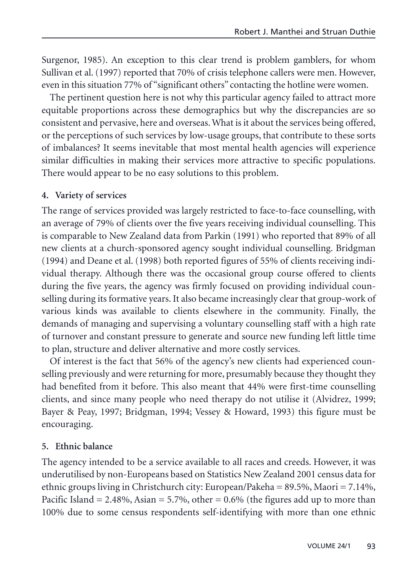Surgenor, 1985). An exception to this clear trend is problem gamblers, for whom Sullivan et al. (1997) reported that 70% of crisis telephone callers were men. However, even in this situation 77% of "significant others" contacting the hotline were women.

The pertinent question here is not why this particular agency failed to attract more equitable proportions across these demographics but why the discrepancies are so consistent and pervasive, here and overseas. What is it about the services being offered, or the perceptions of such services by low-usage groups, that contribute to these sorts of imbalances? It seems inevitable that most mental health agencies will experience similar difficulties in making their services more attractive to specific populations. There would appear to be no easy solutions to this problem.

#### **4. Variety of services**

The range of services provided was largely restricted to face-to-face counselling, with an average of 79% of clients over the five years receiving individual counselling. This is comparable to New Zealand data from Parkin (1991) who reported that 89% of all new clients at a church-sponsored agency sought individual counselling. Bridgman (1994) and Deane et al. (1998) both reported figures of 55% of clients receiving individual therapy. Although there was the occasional group course offered to clients during the five years, the agency was firmly focused on providing individual counselling during its formative years. It also became increasingly clear that group-work of various kinds was available to clients elsewhere in the community. Finally, the demands of managing and supervising a voluntary counselling staff with a high rate of turnover and constant pressure to generate and source new funding left little time to plan, structure and deliver alternative and more costly services.

Of interest is the fact that 56% of the agency's new clients had experienced counselling previously and were returning for more, presumably because they thought they had benefited from it before. This also meant that 44% were first-time counselling clients, and since many people who need therapy do not utilise it (Alvidrez, 1999; Bayer & Peay, 1997; Bridgman, 1994; Vessey & Howard, 1993) this figure must be encouraging.

#### **5. Ethnic balance**

The agency intended to be a service available to all races and creeds. However, it was underutilised by non-Europeans based on Statistics New Zealand 2001 census data for ethnic groups living in Christchurch city: European/Pakeha = 89.5%, Maori = 7.14%, Pacific Island  $= 2.48\%$ , Asian  $= 5.7\%$ , other  $= 0.6\%$  (the figures add up to more than 100% due to some census respondents self-identifying with more than one ethnic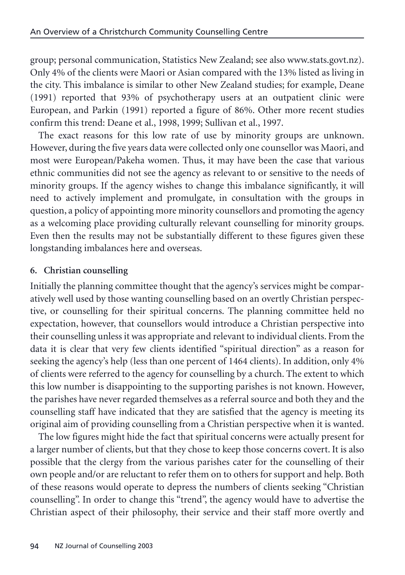group; personal communication, Statistics New Zealand; see also www.stats.govt.nz). Only 4% of the clients were Maori or Asian compared with the 13% listed as living in the city. This imbalance is similar to other New Zealand studies; for example, Deane (1991) reported that 93% of psychotherapy users at an outpatient clinic were European, and Parkin (1991) reported a figure of 86%. Other more recent studies confirm this trend: Deane et al., 1998, 1999; Sullivan et al., 1997.

The exact reasons for this low rate of use by minority groups are unknown. However, during the five years data were collected only one counsellor was Maori, and most were European/Pakeha women. Thus, it may have been the case that various ethnic communities did not see the agency as relevant to or sensitive to the needs of minority groups. If the agency wishes to change this imbalance significantly, it will need to actively implement and promulgate, in consultation with the groups in question, a policy of appointing more minority counsellors and promoting the agency as a welcoming place providing culturally relevant counselling for minority groups. Even then the results may not be substantially different to these figures given these longstanding imbalances here and overseas.

## **6. Christian counselling**

Initially the planning committee thought that the agency's services might be comparatively well used by those wanting counselling based on an overtly Christian perspective, or counselling for their spiritual concerns. The planning committee held no expectation, however, that counsellors would introduce a Christian perspective into their counselling unless it was appropriate and relevant to individual clients. From the data it is clear that very few clients identified "spiritual direction" as a reason for seeking the agency's help (less than one percent of 1464 clients). In addition, only 4% of clients were referred to the agency for counselling by a church. The extent to which this low number is disappointing to the supporting parishes is not known. However, the parishes have never regarded themselves as a referral source and both they and the counselling staff have indicated that they are satisfied that the agency is meeting its original aim of providing counselling from a Christian perspective when it is wanted.

The low figures might hide the fact that spiritual concerns were actually present for a larger number of clients, but that they chose to keep those concerns covert. It is also possible that the clergy from the various parishes cater for the counselling of their own people and/or are reluctant to refer them on to others for support and help. Both of these reasons would operate to depress the numbers of clients seeking "Christian counselling". In order to change this "trend", the agency would have to advertise the Christian aspect of their philosophy, their service and their staff more overtly and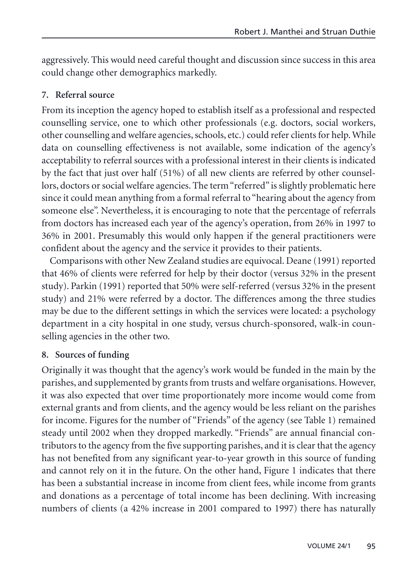aggressively. This would need careful thought and discussion since success in this area could change other demographics markedly.

## **7. Referral source**

From its inception the agency hoped to establish itself as a professional and respected counselling service, one to which other professionals (e.g. doctors, social workers, other counselling and welfare agencies, schools, etc.) could refer clients for help. While data on counselling effectiveness is not available, some indication of the agency's acceptability to referral sources with a professional interest in their clients is indicated by the fact that just over half (51%) of all new clients are referred by other counsellors, doctors or social welfare agencies. The term "referred" is slightly problematic here since it could mean anything from a formal referral to "hearing about the agency from someone else". Nevertheless, it is encouraging to note that the percentage of referrals from doctors has increased each year of the agency's operation, from 26% in 1997 to 36% in 2001. Presumably this would only happen if the general practitioners were confident about the agency and the service it provides to their patients.

Comparisons with other New Zealand studies are equivocal. Deane (1991) reported that 46% of clients were referred for help by their doctor (versus 32% in the present study). Parkin (1991) reported that 50% were self-referred (versus 32% in the present study) and 21% were referred by a doctor. The differences among the three studies may be due to the different settings in which the services were located: a psychology department in a city hospital in one study, versus church-sponsored, walk-in counselling agencies in the other two.

## **8. Sources of funding**

Originally it was thought that the agency's work would be funded in the main by the parishes, and supplemented by grants from trusts and welfare organisations. However, it was also expected that over time proportionately more income would come from external grants and from clients, and the agency would be less reliant on the parishes for income. Figures for the number of "Friends" of the agency (see Table 1) remained steady until 2002 when they dropped markedly. "Friends" are annual financial contributors to the agency from the five supporting parishes, and it is clear that the agency has not benefited from any significant year-to-year growth in this source of funding and cannot rely on it in the future. On the other hand, Figure 1 indicates that there has been a substantial increase in income from client fees, while income from grants and donations as a percentage of total income has been declining. With increasing numbers of clients (a 42% increase in 2001 compared to 1997) there has naturally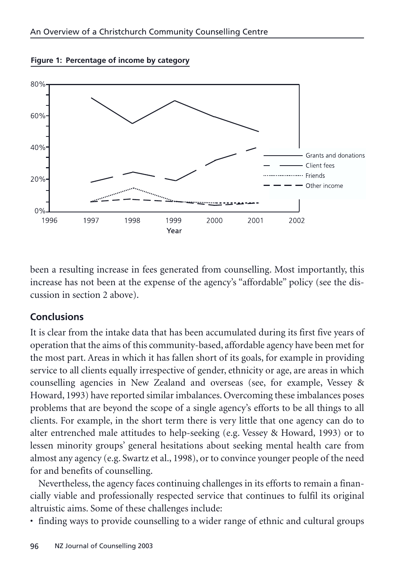



been a resulting increase in fees generated from counselling. Most importantly, this increase has not been at the expense of the agency's "affordable" policy (see the discussion in section 2 above).

## **Conclusions**

It is clear from the intake data that has been accumulated during its first five years of operation that the aims of this community-based, affordable agency have been met for the most part. Areas in which it has fallen short of its goals, for example in providing service to all clients equally irrespective of gender, ethnicity or age, are areas in which counselling agencies in New Zealand and overseas (see, for example, Vessey & Howard, 1993) have reported similar imbalances. Overcoming these imbalances poses problems that are beyond the scope of a single agency's efforts to be all things to all clients. For example, in the short term there is very little that one agency can do to alter entrenched male attitudes to help-seeking (e.g. Vessey & Howard, 1993) or to lessen minority groups' general hesitations about seeking mental health care from almost any agency (e.g. Swartz et al., 1998), or to convince younger people of the need for and benefits of counselling.

Nevertheless, the agency faces continuing challenges in its efforts to remain a financially viable and professionally respected service that continues to fulfil its original altruistic aims. Some of these challenges include:

• finding ways to provide counselling to a wider range of ethnic and cultural groups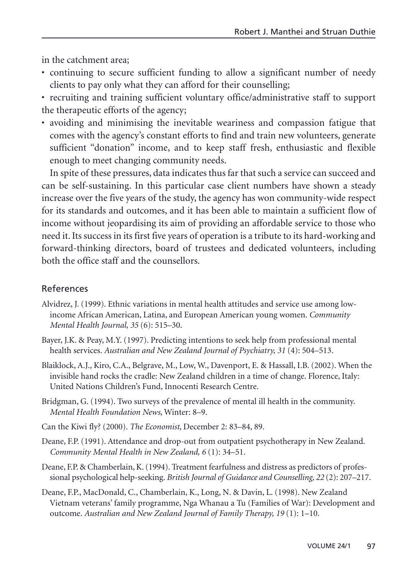in the catchment area;

- continuing to secure sufficient funding to allow a significant number of needy clients to pay only what they can afford for their counselling;
- recruiting and training sufficient voluntary office/administrative staff to support the therapeutic efforts of the agency;
- avoiding and minimising the inevitable weariness and compassion fatigue that comes with the agency's constant efforts to find and train new volunteers, generate sufficient "donation" income, and to keep staff fresh, enthusiastic and flexible enough to meet changing community needs.

In spite of these pressures, data indicates thus far that such a service can succeed and can be self-sustaining. In this particular case client numbers have shown a steady increase over the five years of the study, the agency has won community-wide respect for its standards and outcomes, and it has been able to maintain a sufficient flow of income without jeopardising its aim of providing an affordable service to those who need it. Its success in its first five years of operation is a tribute to its hard-working and forward-thinking directors, board of trustees and dedicated volunteers, including both the office staff and the counsellors.

# References

- Alvidrez, J. (1999). Ethnic variations in mental health attitudes and service use among lowincome African American, Latina, and European American young women. *Community Mental Health Journal, 35* (6): 515–30.
- Bayer, J.K. & Peay, M.Y. (1997). Predicting intentions to seek help from professional mental health services. *Australian and New Zealand Journal of Psychiatry, 31* (4): 504–513.
- Blaiklock, A.J., Kiro, C.A., Belgrave, M., Low, W., Davenport, E. & Hassall, I.B. (2002). When the invisible hand rocks the cradle: New Zealand children in a time of change. Florence, Italy: United Nations Children's Fund, Innocenti Research Centre.
- Bridgman, G. (1994). Two surveys of the prevalence of mental ill health in the community. *Mental Health Foundation News*, Winter: 8–9.
- Can the Kiwi fly? (2000). *The Economist*, December 2: 83–84, 89.
- Deane, F.P. (1991). Attendance and drop-out from outpatient psychotherapy in New Zealand. *Community Mental Health in New Zealand, 6* (1): 34–51.
- Deane, F.P. & Chamberlain, K. (1994). Treatment fearfulness and distress as predictors of professional psychological help-seeking. *British Journal of Guidance and Counselling, 22* (2): 207–217.
- Deane, F.P., MacDonald, C., Chamberlain, K., Long, N. & Davin, L. (1998). New Zealand Vietnam veterans' family programme, Nga Whanau a Tu (Families of War): Development and outcome. *Australian and New Zealand Journal of Family Therapy, 19* (1): 1–10.